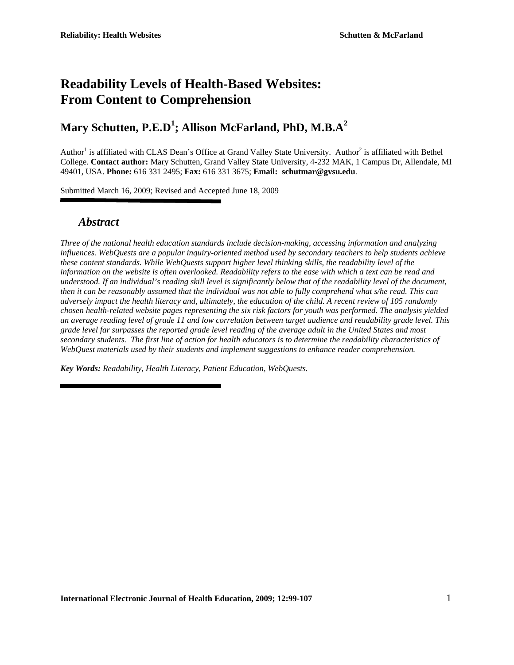# **Readability Levels of Health-Based Websites: From Content to Comprehension**

# **Mary Schutten, P.E.D<sup>1</sup> ; Allison McFarland, PhD, M.B.A<sup>2</sup>**

Author<sup>1</sup> is affiliated with CLAS Dean's Office at Grand Valley State University. Author<sup>2</sup> is affiliated with Bethel College. **Contact author:** Mary Schutten, Grand Valley State University, 4-232 MAK, 1 Campus Dr, Allendale, MI 49401, USA. **Phone:** 616 331 2495; **Fax:** 616 331 3675; **Email: schutmar@gvsu.edu**.

Submitted March 16, 2009; Revised and Accepted June 18, 2009

### *Abstract*

*Three of the national health education standards include decision-making, accessing information and analyzing influences. WebQuests are a popular inquiry-oriented method used by secondary teachers to help students achieve these content standards. While WebQuests support higher level thinking skills, the readability level of the information on the website is often overlooked. Readability refers to the ease with which a text can be read and understood. If an individual's reading skill level is significantly below that of the readability level of the document, then it can be reasonably assumed that the individual was not able to fully comprehend what s/he read. This can adversely impact the health literacy and, ultimately, the education of the child. A recent review of 105 randomly chosen health-related website pages representing the six risk factors for youth was performed. The analysis yielded an average reading level of grade 11 and low correlation between target audience and readability grade level. This grade level far surpasses the reported grade level reading of the average adult in the United States and most secondary students. The first line of action for health educators is to determine the readability characteristics of WebQuest materials used by their students and implement suggestions to enhance reader comprehension.* 

*Key Words: Readability, Health Literacy, Patient Education, WebQuests.*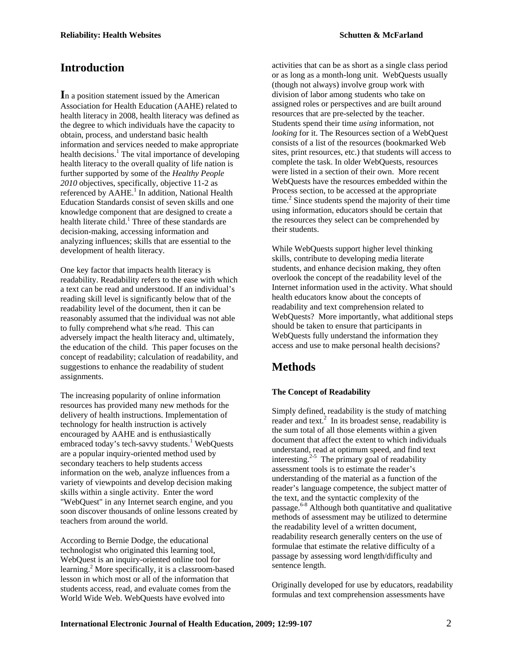## **Introduction**

**I**n a position statement issued by the American Association for Health Education (AAHE) related to health literacy in 2008, health literacy was defined as the degree to which individuals have the capacity to obtain, process, and understand basic health information and services needed to make appropriate health decisions.<sup>1</sup> The vital importance of developing health literacy to the overall quality of life nation is further supported by some of the *Healthy People 2010* objectives, specifically, objective 11-2 as referenced by AAHE.<sup>1</sup> In addition, National Health Education Standards consist of seven skills and one knowledge component that are designed to create a health literate child.<sup>1</sup> Three of these standards are decision-making, accessing information and analyzing influences; skills that are essential to the development of health literacy.

One key factor that impacts health literacy is readability. Readability refers to the ease with which a text can be read and understood. If an individual's reading skill level is significantly below that of the readability level of the document, then it can be reasonably assumed that the individual was not able to fully comprehend what s/he read. This can adversely impact the health literacy and, ultimately, the education of the child. This paper focuses on the concept of readability; calculation of readability, and suggestions to enhance the readability of student assignments.

The increasing popularity of online information resources has provided many new methods for the delivery of health instructions. Implementation of technology for health instruction is actively encouraged by AAHE and is enthusiastically embraced today's tech-savvy students.<sup>1</sup> WebQuests are a popular inquiry-oriented method used by secondary teachers to help students access information on the web, analyze influences from a variety of viewpoints and develop decision making skills within a single activity. Enter the word "WebQuest" in any Internet search engine, and you soon discover thousands of online lessons created by teachers from around the world.

According to Bernie Dodge, the educational technologist who originated this learning tool, WebQuest is an inquiry-oriented online tool for learning.<sup>2</sup> More specifically, it is a classroom-based lesson in which most or all of the information that students access, read, and evaluate comes from the World Wide Web. WebQuests have evolved into

activities that can be as short as a single class period or as long as a month-long unit. WebQuests usually (though not always) involve group work with division of labor among students who take on assigned roles or perspectives and are built around resources that are pre-selected by the teacher. Students spend their time *using* information, not *looking* for it. The Resources section of a WebQuest consists of a list of the resources (bookmarked Web sites, print resources, etc.) that students will access to complete the task. In older WebQuests, resources were listed in a section of their own. More recent WebQuests have the resources embedded within the Process section, to be accessed at the appropriate time.<sup>2</sup> Since students spend the majority of their time using information, educators should be certain that the resources they select can be comprehended by their students.

While WebQuests support higher level thinking skills, contribute to developing media literate students, and enhance decision making, they often overlook the concept of the readability level of the Internet information used in the activity. What should health educators know about the concepts of readability and text comprehension related to WebQuests? More importantly, what additional steps should be taken to ensure that participants in WebQuests fully understand the information they access and use to make personal health decisions?

## **Methods**

### **The Concept of Readability**

Simply defined, readability is the study of matching reader and text.<sup>2</sup> In its broadest sense, readability is the sum total of all those elements within a given document that affect the extent to which individuals understand, read at optimum speed, and find text interesting. $2-5$  The primary goal of readability assessment tools is to estimate the reader's understanding of the material as a function of the reader's language competence, the subject matter of the text, and the syntactic complexity of the passage.6-8 Although both quantitative and qualitative methods of assessment may be utilized to determine the readability level of a written document, readability research generally centers on the use of formulae that estimate the relative difficulty of a passage by assessing word length/difficulty and sentence length.

Originally developed for use by educators, readability formulas and text comprehension assessments have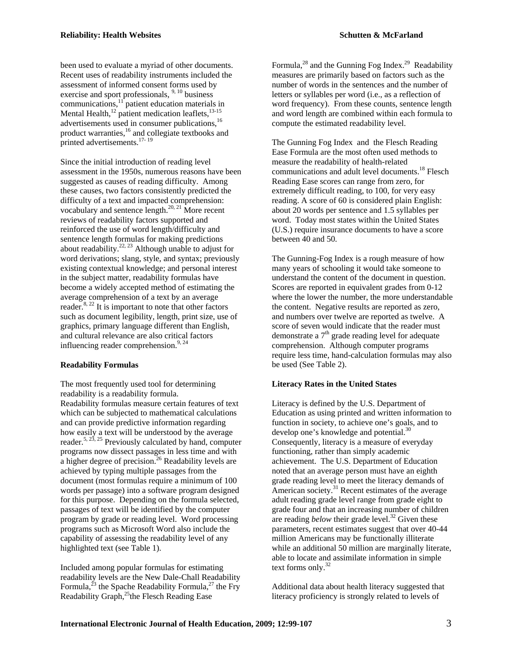assessment of informed consent forms used by exercise and sport professionals,  $9,10$  business communications,<sup>11</sup> patient education materials in Mental Health, $^{12}$  patient medication leaflets, $^{13-15}$ advertisements used in consumer publications,<sup>16</sup> product warranties,<sup>16</sup> and collegiate textbooks and printed advertisements.<sup>17-19</sup>

Since the initial introduction of reading level assessment in the 1950s, numerous reasons have been suggested as causes of reading difficulty. Among these causes, two factors consistently predicted the difficulty of a text and impacted comprehension: vocabulary and sentence length. $^{20, 21}$  More recent reviews of readability factors supported and reinforced the use of word length/difficulty and sentence length formulas for making predictions about readability. $22, 23$  Although unable to adjust for word derivations; slang, style, and syntax; previously existing contextual knowledge; and personal interest in the subject matter, readability formulas have become a widely accepted method of estimating the average comprehension of a text by an average reader.<sup>8, 22</sup> It is important to note that other factors such as document legibility, length, print size, use of graphics, primary language different than English, and cultural relevance are also critical factors influencing reader comprehension.<sup>9, 24</sup>

### **Readability Formulas**

The most frequently used tool for determining readability is a readability formula. Readability formulas measure certain features of text which can be subjected to mathematical calculations and can provide predictive information regarding how easily a text will be understood by the average reader.<sup>5, 23, 25</sup> Previously calculated by hand, computer programs now dissect passages in less time and with a higher degree of precision.<sup>26</sup> Readability levels are achieved by typing multiple passages from the document (most formulas require a minimum of 100 words per passage) into a software program designed for this purpose. Depending on the formula selected, passages of text will be identified by the computer program by grade or reading level. Word processing programs such as Microsoft Word also include the capability of assessing the readability level of any highlighted text (see Table 1).

Included among popular formulas for estimating readability levels are the New Dale-Chall Readability Formula,<sup> $^{23}$ </sup> the Spache Readability Formula,<sup> $^{27}$ </sup> the Fry Readability Graph,<sup>25</sup>the Flesch Reading Ease

Formula, $^{28}$  and the Gunning Fog Index. $^{29}$  Readability measures are primarily based on factors such as the number of words in the sentences and the number of letters or syllables per word (i.e., as a reflection of word frequency). From these counts, sentence length and word length are combined within each formula to compute the estimated readability level.

The Gunning Fog Index and the Flesch Reading Ease Formula are the most often used methods to measure the readability of health-related communications and adult level documents.<sup>18</sup> Flesch Reading Ease scores can range from zero, for extremely difficult reading, to 100, for very easy reading. A score of 60 is considered plain English: about 20 words per sentence and 1.5 syllables per word. Today most states within the United States (U.S.) require insurance documents to have a score between 40 and 50.

The Gunning-Fog Index is a rough measure of how many years of schooling it would take someone to understand the content of the document in question. Scores are reported in equivalent grades from 0-12 where the lower the number, the more understandable the content. Negative results are reported as zero, and numbers over twelve are reported as twelve. A score of seven would indicate that the reader must demonstrate a  $7<sup>th</sup>$  grade reading level for adequate comprehension. Although computer programs require less time, hand-calculation formulas may also be used (See Table 2).

### **Literacy Rates in the United States**

Literacy is defined by the U.S. Department of Education as using printed and written information to function in society, to achieve one's goals, and to develop one's knowledge and potential.<sup>30</sup> Consequently, literacy is a measure of everyday functioning, rather than simply academic achievement. The U.S. Department of Education noted that an average person must have an eighth grade reading level to meet the literacy demands of American society. $31$  Recent estimates of the average adult reading grade level range from grade eight to grade four and that an increasing number of children are reading *below* their grade level.<sup>32</sup> Given these parameters, recent estimates suggest that over 40-44 million Americans may be functionally illiterate while an additional 50 million are marginally literate, able to locate and assimilate information in simple text forms only.<sup>32</sup>

Additional data about health literacy suggested that literacy proficiency is strongly related to levels of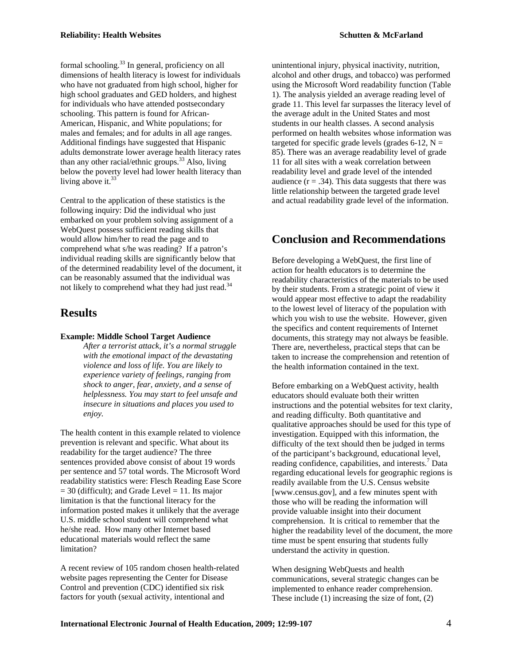formal schooling.<sup>33</sup> In general, proficiency on all dimensions of health literacy is lowest for individuals who have not graduated from high school, higher for high school graduates and GED holders, and highest for individuals who have attended postsecondary schooling. This pattern is found for African-American, Hispanic, and White populations; for males and females; and for adults in all age ranges. Additional findings have suggested that Hispanic adults demonstrate lower average health literacy rates than any other racial/ethnic groups.<sup>33</sup> Also, living below the poverty level had lower health literacy than living above it. $33$ 

Central to the application of these statistics is the following inquiry: Did the individual who just embarked on your problem solving assignment of a WebQuest possess sufficient reading skills that would allow him/her to read the page and to comprehend what s/he was reading? If a patron's individual reading skills are significantly below that of the determined readability level of the document, it can be reasonably assumed that the individual was not likely to comprehend what they had just read.<sup>34</sup>

## **Results**

#### **Example: Middle School Target Audience**

*After a terrorist attack, it's a normal struggle with the emotional impact of the devastating violence and loss of life. You are likely to experience variety of feelings, ranging from shock to anger, fear, anxiety, and a sense of helplessness. You may start to feel unsafe and insecure in situations and places you used to enjoy.* 

The health content in this example related to violence prevention is relevant and specific. What about its readability for the target audience? The three sentences provided above consist of about 19 words per sentence and 57 total words. The Microsoft Word readability statistics were: Flesch Reading Ease Score  $= 30$  (difficult); and Grade Level  $= 11$ . Its major limitation is that the functional literacy for the information posted makes it unlikely that the average U.S. middle school student will comprehend what he/she read. How many other Internet based educational materials would reflect the same limitation?

A recent review of 105 random chosen health-related website pages representing the Center for Disease Control and prevention (CDC) identified six risk factors for youth (sexual activity, intentional and

unintentional injury, physical inactivity, nutrition, alcohol and other drugs, and tobacco) was performed using the Microsoft Word readability function (Table 1). The analysis yielded an average reading level of grade 11. This level far surpasses the literacy level of the average adult in the United States and most students in our health classes. A second analysis performed on health websites whose information was targeted for specific grade levels (grades  $6-12$ ,  $N =$ 85). There was an average readability level of grade 11 for all sites with a weak correlation between readability level and grade level of the intended audience  $(r = .34)$ . This data suggests that there was little relationship between the targeted grade level and actual readability grade level of the information.

# **Conclusion and Recommendations**

Before developing a WebQuest, the first line of action for health educators is to determine the readability characteristics of the materials to be used by their students. From a strategic point of view it would appear most effective to adapt the readability to the lowest level of literacy of the population with which you wish to use the website. However, given the specifics and content requirements of Internet documents, this strategy may not always be feasible. There are, nevertheless, practical steps that can be taken to increase the comprehension and retention of the health information contained in the text.

Before embarking on a WebQuest activity, health educators should evaluate both their written instructions and the potential websites for text clarity, and reading difficulty. Both quantitative and qualitative approaches should be used for this type of investigation. Equipped with this information, the difficulty of the text should then be judged in terms of the participant's background, educational level, reading confidence, capabilities, and interests.<sup>7</sup> Data regarding educational levels for geographic regions is readily available from the U.S. Census website [www.census.gov], and a few minutes spent with those who will be reading the information will provide valuable insight into their document comprehension. It is critical to remember that the higher the readability level of the document, the more time must be spent ensuring that students fully understand the activity in question.

When designing WebQuests and health communications, several strategic changes can be implemented to enhance reader comprehension. These include (1) increasing the size of font, (2)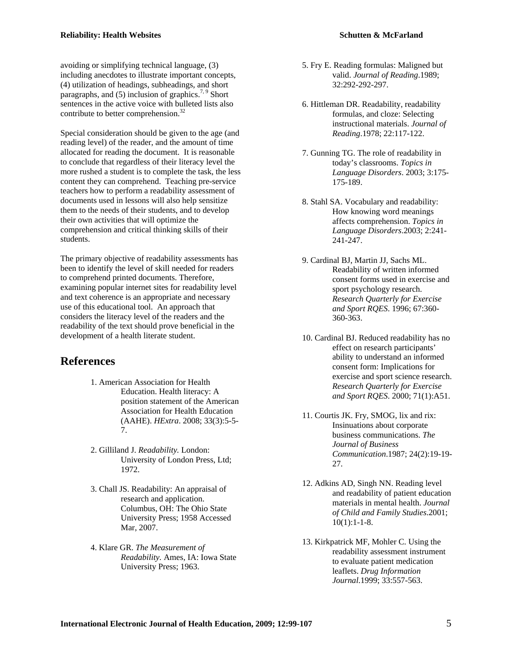avoiding or simplifying technical language, (3) including anecdotes to illustrate important concepts, (4) utilization of headings, subheadings, and short paragraphs, and  $(5)$  inclusion of graphics.<sup>7, 9</sup> Short sentences in the active voice with bulleted lists also contribute to better comprehension.<sup>32</sup>

Special consideration should be given to the age (and reading level) of the reader, and the amount of time allocated for reading the document. It is reasonable to conclude that regardless of their literacy level the more rushed a student is to complete the task, the less content they can comprehend. Teaching pre-service teachers how to perform a readability assessment of documents used in lessons will also help sensitize them to the needs of their students, and to develop their own activities that will optimize the comprehension and critical thinking skills of their students.

The primary objective of readability assessments has been to identify the level of skill needed for readers to comprehend printed documents. Therefore, examining popular internet sites for readability level and text coherence is an appropriate and necessary use of this educational tool. An approach that considers the literacy level of the readers and the readability of the text should prove beneficial in the development of a health literate student.

### **References**

- 1. American Association for Health Education. Health literacy: A position statement of the American Association for Health Education (AAHE). *HExtra*. 2008; 33(3):5-5- 7.
- 2. Gilliland J. *Readability.* London: University of London Press, Ltd; 1972.
- 3. Chall JS. Readability: An appraisal of research and application. Columbus, OH: The Ohio State University Press; 1958 Accessed Mar, 2007.
- 4. Klare GR. *The Measurement of Readability.* Ames, IA: Iowa State University Press; 1963.
- 5. Fry E. Reading formulas: Maligned but valid. *Journal of Reading*.1989; 32:292-292-297.
- 6. Hittleman DR. Readability, readability formulas, and cloze: Selecting instructional materials. *Journal of Reading*.1978; 22:117-122.
- 7. Gunning TG. The role of readability in today's classrooms. *Topics in Language Disorders*. 2003; 3:175- 175-189.
- 8. Stahl SA. Vocabulary and readability: How knowing word meanings affects comprehension. *Topics in Language Disorders*.2003; 2:241- 241-247.
- 9. Cardinal BJ, Martin JJ, Sachs ML. Readability of written informed consent forms used in exercise and sport psychology research. *Research Quarterly for Exercise and Sport RQES*. 1996; 67:360- 360-363.
- 10. Cardinal BJ. Reduced readability has no effect on research participants' ability to understand an informed consent form: Implications for exercise and sport science research. *Research Quarterly for Exercise and Sport RQES*. 2000; 71(1):A51.
- 11. Courtis JK. Fry, SMOG, lix and rix: Insinuations about corporate business communications. *The Journal of Business Communication*.1987; 24(2):19-19- 27.
- 12. Adkins AD, Singh NN. Reading level and readability of patient education materials in mental health. *Journal of Child and Family Studies*.2001;  $10(1):1-1-8.$
- 13. Kirkpatrick MF, Mohler C. Using the readability assessment instrument to evaluate patient medication leaflets. *Drug Information Journal*.1999; 33:557-563.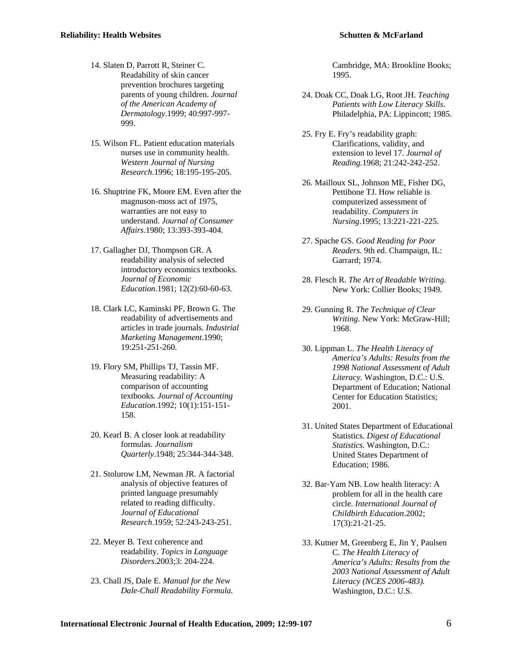- 14. Slaten D, Parrott R, Steiner C. Readability of skin cancer prevention brochures targeting parents of young children. *Journal of the American Academy of Dermatology*.1999; 40:997-997- 999.
- 15. Wilson FL. Patient education materials nurses use in community health. *Western Journal of Nursing Research*.1996; 18:195-195-205.
- 16. Shuptrine FK, Moore EM. Even after the magnuson-moss act of 1975, warranties are not easy to understand. *Journal of Consumer Affairs*.1980; 13:393-393-404.
- 17. Gallagher DJ, Thompson GR. A readability analysis of selected introductory economics textbooks. *Journal of Economic Education*.1981; 12(2):60-60-63.
- 18. Clark LC, Kaminski PF, Brown G. The readability of advertisements and articles in trade journals. *Industrial Marketing Management*.1990; 19:251-251-260.
- 19. Flory SM, Phillips TJ, Tassin MF. Measuring readability: A comparison of accounting textbooks. *Journal of Accounting Education*.1992; 10(1):151-151- 158.
- 20. Kearl B. A closer look at readability formulas. *Journalism Quarterly*.1948; 25:344-344-348.
- 21. Stolurow LM, Newman JR. A factorial analysis of objective features of printed language presumably related to reading difficulty. *Journal of Educational Research*.1959; 52:243-243-251.
- 22. Meyer B. Text coherence and readability. *Topics in Language Disorders*.2003;3: 204-224.
- 23. Chall JS, Dale E. *Manual for the New Dale-Chall Readability Formula.*

Cambridge, MA: Brookline Books; 1995.

- 24. Doak CC, Doak LG, Root JH. *Teaching Patients with Low Literacy Skills.*  Philadelphia, PA: Lippincott; 1985.
- 25. Fry E. Fry's readability graph: Clarifications, validity, and extension to level 17. *Journal of Reading*.1968; 21:242-242-252.
- 26. Mailloux SL, Johnson ME, Fisher DG, Pettibone TJ. How reliable is computerized assessment of readability. *Computers in Nursing*.1995; 13:221-221-225.
- 27. Spache GS. *Good Reading for Poor Readers.* 9th ed. Champaign, IL: Garrard; 1974.
- 28. Flesch R. *The Art of Readable Writing.*  New York: Collier Books; 1949.
- 29. Gunning R. *The Technique of Clear Writing.* New York: McGraw-Hill; 1968.
- 30. Lippman L. *The Health Literacy of America's Adults: Results from the 1998 National Assessment of Adult Literacy.* Washington, D.C.: U.S. Department of Education; National Center for Education Statistics; 2001.
- 31. United States Department of Educational Statistics. *Digest of Educational Statistics.* Washington, D.C.: United States Department of Education; 1986.
- 32. Bar-Yam NB. Low health literacy: A problem for all in the health care circle. *International Journal of Childbirth Education*.2002; 17(3):21-21-25.
- 33. Kutner M, Greenberg E, Jin Y, Paulsen C. *The Health Literacy of America's Adults: Results from the 2003 National Assessment of Adult Literacy (NCES 2006-483).*  Washington, D.C.: U.S.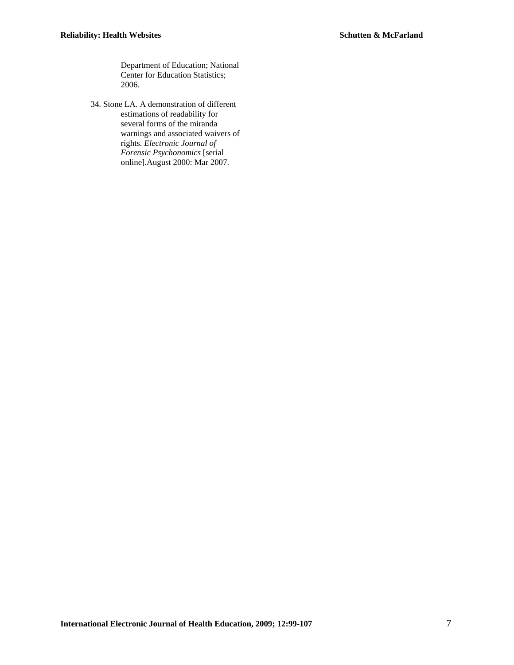Department of Education; National Center for Education Statistics; 2006.

34. Stone LA. A demonstration of different estimations of readability for several forms of the miranda warnings and associated waivers of rights. *Electronic Journal of Forensic Psychonomics* [serial online].August 2000: Mar 2007.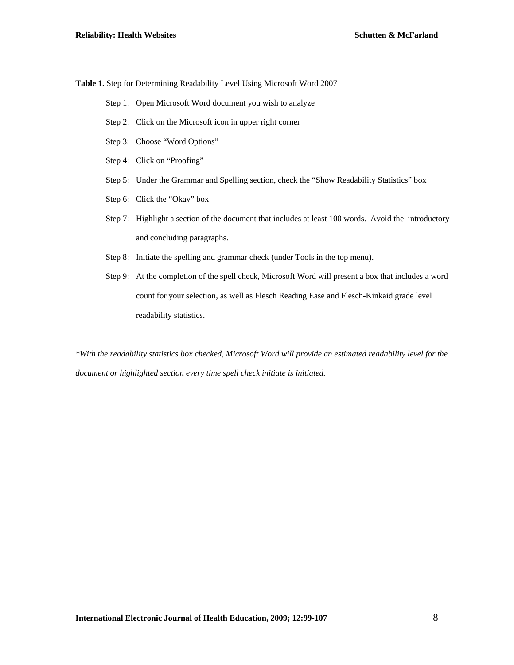**Table 1.** Step for Determining Readability Level Using Microsoft Word 2007

- Step 1: Open Microsoft Word document you wish to analyze
- Step 2: Click on the Microsoft icon in upper right corner
- Step 3: Choose "Word Options"
- Step 4: Click on "Proofing"
- Step 5: Under the Grammar and Spelling section, check the "Show Readability Statistics" box
- Step 6: Click the "Okay" box
- Step 7: Highlight a section of the document that includes at least 100 words. Avoid the introductory and concluding paragraphs.
- Step 8: Initiate the spelling and grammar check (under Tools in the top menu).
- Step 9: At the completion of the spell check, Microsoft Word will present a box that includes a word count for your selection, as well as Flesch Reading Ease and Flesch-Kinkaid grade level readability statistics.

*\*With the readability statistics box checked, Microsoft Word will provide an estimated readability level for the document or highlighted section every time spell check initiate is initiated.*